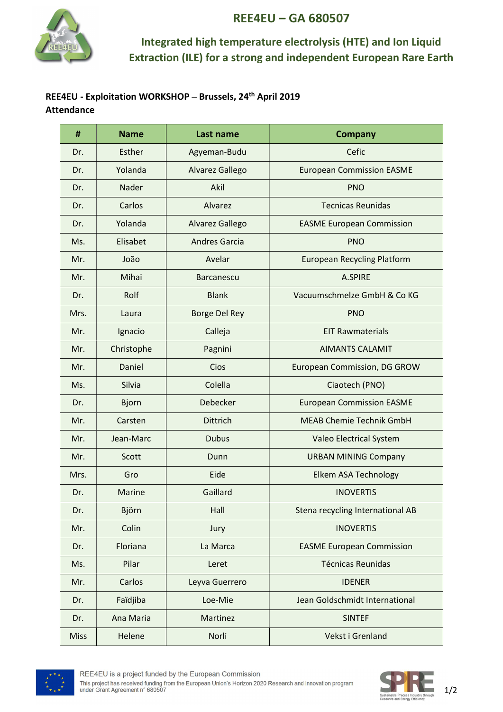

# REE4EU – GA 680507

### Integrated high temperature electrolysis (HTE) and Ion Liquid Extraction (ILE) for a strong and independent European Rare Earth

#### REE4EU - Exploitation WORKSHOP – Brussels, 24th April 2019 Attendance

| #           | <b>Name</b>   | Last name            | <b>Company</b>                     |
|-------------|---------------|----------------------|------------------------------------|
| Dr.         | Esther        | Agyeman-Budu         | Cefic                              |
| Dr.         | Yolanda       | Alvarez Gallego      | <b>European Commission EASME</b>   |
| Dr.         | Nader         | Akil                 | <b>PNO</b>                         |
| Dr.         | Carlos        | Alvarez              | <b>Tecnicas Reunidas</b>           |
| Dr.         | Yolanda       | Alvarez Gallego      | <b>EASME European Commission</b>   |
| Ms.         | Elisabet      | <b>Andres Garcia</b> | <b>PNO</b>                         |
| Mr.         | João          | Avelar               | <b>European Recycling Platform</b> |
| Mr.         | Mihai         | <b>Barcanescu</b>    | A.SPIRE                            |
| Dr.         | Rolf          | <b>Blank</b>         | Vacuumschmelze GmbH & Co KG        |
| Mrs.        | Laura         | <b>Borge Del Rey</b> | <b>PNO</b>                         |
| Mr.         | Ignacio       | Calleja              | <b>EIT Rawmaterials</b>            |
| Mr.         | Christophe    | Pagnini              | <b>AIMANTS CALAMIT</b>             |
| Mr.         | Daniel        | Cios                 | European Commission, DG GROW       |
| Ms.         | Silvia        | Colella              | Ciaotech (PNO)                     |
| Dr.         | <b>Bjorn</b>  | Debecker             | <b>European Commission EASME</b>   |
| Mr.         | Carsten       | <b>Dittrich</b>      | <b>MEAB Chemie Technik GmbH</b>    |
| Mr.         | Jean-Marc     | <b>Dubus</b>         | Valeo Electrical System            |
| Mr.         | Scott         | Dunn                 | <b>URBAN MINING Company</b>        |
| Mrs.        | Gro           | Eide                 | Elkem ASA Technology               |
| Dr.         | <b>Marine</b> | Gaillard             | <b>INOVERTIS</b>                   |
| Dr.         | Björn         | Hall                 | Stena recycling International AB   |
| Mr.         | Colin         | Jury                 | <b>INOVERTIS</b>                   |
| Dr.         | Floriana      | La Marca             | <b>EASME European Commission</b>   |
| Ms.         | Pilar         | Leret                | <b>Técnicas Reunidas</b>           |
| Mr.         | Carlos        | Leyva Guerrero       | <b>IDENER</b>                      |
| Dr.         | Faïdjiba      | Loe-Mie              | Jean Goldschmidt International     |
| Dr.         | Ana Maria     | Martinez             | <b>SINTEF</b>                      |
| <b>Miss</b> | Helene        | Norli                | Vekst i Grenland                   |